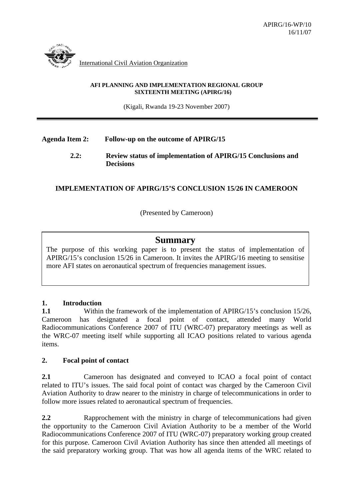

#### **AFI PLANNING AND IMPLEMENTATION REGIONAL GROUP SIXTEENTH MEETING (APIRG/16)**

(Kigali, Rwanda 19-23 November 2007)

# **Agenda Item 2: Follow-up on the outcome of APIRG/15**

#### **2.2: Review status of implementation of APIRG/15 Conclusions and Decisions**

# **IMPLEMENTATION OF APIRG/15'S CONCLUSION 15/26 IN CAMEROON**

(Presented by Cameroon)

# **Summary**

The purpose of this working paper is to present the status of implementation of APIRG/15's conclusion 15/26 in Cameroon. It invites the APIRG/16 meeting to sensitise more AFI states on aeronautical spectrum of frequencies management issues.

### **1. Introduction**

**1.1** Within the framework of the implementation of APIRG/15's conclusion 15/26, Cameroon has designated a focal point of contact, attended many World Radiocommunications Conference 2007 of ITU (WRC-07) preparatory meetings as well as the WRC-07 meeting itself while supporting all ICAO positions related to various agenda items.

### **2. Focal point of contact**

**2.1** Cameroon has designated and conveyed to ICAO a focal point of contact related to ITU's issues. The said focal point of contact was charged by the Cameroon Civil Aviation Authority to draw nearer to the ministry in charge of telecommunications in order to follow more issues related to aeronautical spectrum of frequencies.

**2.2** Rapprochement with the ministry in charge of telecommunications had given the opportunity to the Cameroon Civil Aviation Authority to be a member of the World Radiocommunications Conference 2007 of ITU (WRC-07) preparatory working group created for this purpose. Cameroon Civil Aviation Authority has since then attended all meetings of the said preparatory working group. That was how all agenda items of the WRC related to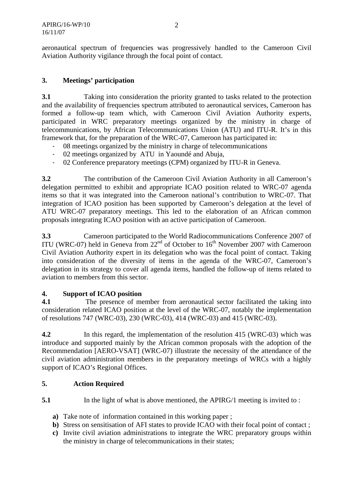aeronautical spectrum of frequencies was progressively handled to the Cameroon Civil Aviation Authority vigilance through the focal point of contact.

### **3. Meetings' participation**

**3.1** Taking into consideration the priority granted to tasks related to the protection and the availability of frequencies spectrum attributed to aeronautical services, Cameroon has formed a follow-up team which, with Cameroon Civil Aviation Authority experts, participated in WRC preparatory meetings organized by the ministry in charge of telecommunications, by African Telecommunications Union (ATU) and ITU-R. It's in this framework that, for the preparation of the WRC-07, Cameroon has participated in:

- 08 meetings organized by the ministry in charge of telecommunications
- 02 meetings organized by ATU in Yaoundé and Abuja,
- 02 Conference preparatory meetings (CPM) organized by ITU-R in Geneva.

**3.2** The contribution of the Cameroon Civil Aviation Authority in all Cameroon's delegation permitted to exhibit and appropriate ICAO position related to WRC-07 agenda items so that it was integrated into the Cameroon national's contribution to WRC-07. That integration of ICAO position has been supported by Cameroon's delegation at the level of ATU WRC-07 preparatory meetings. This led to the elaboration of an African common proposals integrating ICAO position with an active participation of Cameroon.

**3.3** Cameroon participated to the World Radiocommunications Conference 2007 of ITU (WRC-07) held in Geneva from  $22<sup>nd</sup>$  of October to  $16<sup>th</sup>$  November 2007 with Cameroon Civil Aviation Authority expert in its delegation who was the focal point of contact. Taking into consideration of the diversity of items in the agenda of the WRC-07, Cameroon's delegation in its strategy to cover all agenda items, handled the follow-up of items related to aviation to members from this sector.

### **4. Support of ICAO position**

**4.1** The presence of member from aeronautical sector facilitated the taking into consideration related ICAO position at the level of the WRC-07, notably the implementation of resolutions 747 (WRC-03), 230 (WRC-03), 414 (WRC-03) and 415 (WRC-03).

**4.2** In this regard, the implementation of the resolution 415 (WRC-03) which was introduce and supported mainly by the African common proposals with the adoption of the Recommendation [AERO-VSAT] (WRC-07) illustrate the necessity of the attendance of the civil aviation administration members in the preparatory meetings of WRCs with a highly support of ICAO's Regional Offices.

### **5. Action Required**

- **5.1** In the light of what is above mentioned, the APIRG/1 meeting is invited to :
	- **a)** Take note of information contained in this working paper ;
	- **b)** Stress on sensitisation of AFI states to provide ICAO with their focal point of contact ;
	- **c)** Invite civil aviation administrations to integrate the WRC preparatory groups within the ministry in charge of telecommunications in their states;